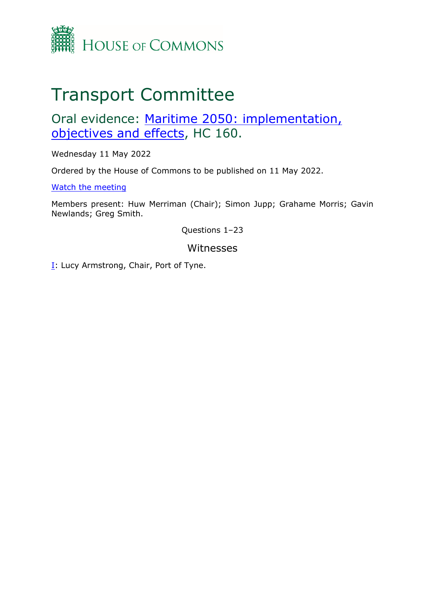

## Transport Committee

## Oral evidence: [Maritime](https://committees.parliament.uk/work/6555/maritime-2050-objectives-implementation-and-effects/) [2050:](https://committees.parliament.uk/work/6555/maritime-2050-objectives-implementation-and-effects/) [implementation,](https://committees.parliament.uk/work/6555/maritime-2050-objectives-implementation-and-effects/) [objectives](https://committees.parliament.uk/work/6555/maritime-2050-objectives-implementation-and-effects/) [and](https://committees.parliament.uk/work/6555/maritime-2050-objectives-implementation-and-effects/) [effects](https://committees.parliament.uk/work/6555/maritime-2050-objectives-implementation-and-effects/), HC 160.

Wednesday 11 May 2022

Ordered by the House of Commons to be published on 11 May 2022.

[Watch](https://www.parliamentlive.tv/Event/Index/2ddfa32a-5a83-4e3e-80e1-2a309a495e29) [the](https://www.parliamentlive.tv/Event/Index/2ddfa32a-5a83-4e3e-80e1-2a309a495e29) [meeting](https://www.parliamentlive.tv/Event/Index/2ddfa32a-5a83-4e3e-80e1-2a309a495e29)

Members present: Huw Merriman (Chair); Simon Jupp; Grahame Morris; Gavin Newlands; Greg Smith.

Questions 1–23

## Witnesses

[I:](#page-1-0) Lucy Armstrong, Chair, Port of Tyne.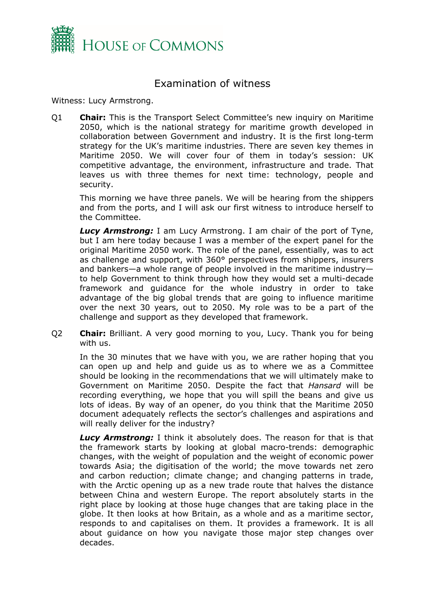

## <span id="page-1-0"></span>Examination of witness

Witness: Lucy Armstrong.

Q1 **Chair:** This is the Transport Select Committee's new inquiry on Maritime 2050, which is the national strategy for maritime growth developed in collaboration between Government and industry. It is the first long-term strategy for the UK's maritime industries. There are seven key themes in Maritime 2050. We will cover four of them in today's session: UK competitive advantage, the environment, infrastructure and trade. That leaves us with three themes for next time: technology, people and security.

This morning we have three panels. We will be hearing from the shippers and from the ports, and I will ask our first witness to introduce herself to the Committee.

*Lucy Armstrong:* I am Lucy Armstrong. I am chair of the port of Tyne, but I am here today because I was a member of the expert panel for the original Maritime 2050 work. The role of the panel, essentially, was to act as challenge and support, with 360° perspectives from shippers, insurers and bankers—a whole range of people involved in the maritime industry to help Government to think through how they would set a multi-decade framework and guidance for the whole industry in order to take advantage of the big global trends that are going to influence maritime over the next 30 years, out to 2050. My role was to be a part of the challenge and support as they developed that framework.

Q2 **Chair:** Brilliant. A very good morning to you, Lucy. Thank you for being with us.

In the 30 minutes that we have with you, we are rather hoping that you can open up and help and guide us as to where we as a Committee should be looking in the recommendations that we will ultimately make to Government on Maritime 2050. Despite the fact that *Hansard* will be recording everything, we hope that you will spill the beans and give us lots of ideas. By way of an opener, do you think that the Maritime 2050 document adequately reflects the sector's challenges and aspirations and will really deliver for the industry?

*Lucy Armstrong:* I think it absolutely does. The reason for that is that the framework starts by looking at global macro-trends: demographic changes, with the weight of population and the weight of economic power towards Asia; the digitisation of the world; the move towards net zero and carbon reduction; climate change; and changing patterns in trade, with the Arctic opening up as a new trade route that halves the distance between China and western Europe. The report absolutely starts in the right place by looking at those huge changes that are taking place in the globe. It then looks at how Britain, as a whole and as a maritime sector, responds to and capitalises on them. It provides a framework. It is all about guidance on how you navigate those major step changes over decades.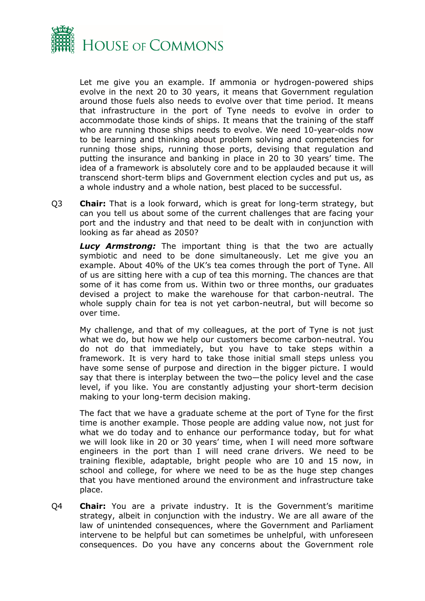

Let me give you an example. If ammonia or hydrogen-powered ships evolve in the next 20 to 30 years, it means that Government regulation around those fuels also needs to evolve over that time period. It means that infrastructure in the port of Tyne needs to evolve in order to accommodate those kinds of ships. It means that the training of the staff who are running those ships needs to evolve. We need 10-year-olds now to be learning and thinking about problem solving and competencies for running those ships, running those ports, devising that regulation and putting the insurance and banking in place in 20 to 30 years' time. The idea of a framework is absolutely core and to be applauded because it will transcend short-term blips and Government election cycles and put us, as a whole industry and a whole nation, best placed to be successful.

Q3 **Chair:** That is a look forward, which is great for long-term strategy, but can you tell us about some of the current challenges that are facing your port and the industry and that need to be dealt with in conjunction with looking as far ahead as 2050?

**Lucy Armstrong:** The important thing is that the two are actually symbiotic and need to be done simultaneously. Let me give you an example. About 40% of the UK's tea comes through the port of Tyne. All of us are sitting here with a cup of tea this morning. The chances are that some of it has come from us. Within two or three months, our graduates devised a project to make the warehouse for that carbon-neutral. The whole supply chain for tea is not yet carbon-neutral, but will become so over time.

My challenge, and that of my colleagues, at the port of Tyne is not just what we do, but how we help our customers become carbon-neutral. You do not do that immediately, but you have to take steps within a framework. It is very hard to take those initial small steps unless you have some sense of purpose and direction in the bigger picture. I would say that there is interplay between the two—the policy level and the case level, if you like. You are constantly adjusting your short-term decision making to your long-term decision making.

The fact that we have a graduate scheme at the port of Tyne for the first time is another example. Those people are adding value now, not just for what we do today and to enhance our performance today, but for what we will look like in 20 or 30 years' time, when I will need more software engineers in the port than I will need crane drivers. We need to be training flexible, adaptable, bright people who are 10 and 15 now, in school and college, for where we need to be as the huge step changes that you have mentioned around the environment and infrastructure take place.

Q4 **Chair:** You are a private industry. It is the Government's maritime strategy, albeit in conjunction with the industry. We are all aware of the law of unintended consequences, where the Government and Parliament intervene to be helpful but can sometimes be unhelpful, with unforeseen consequences. Do you have any concerns about the Government role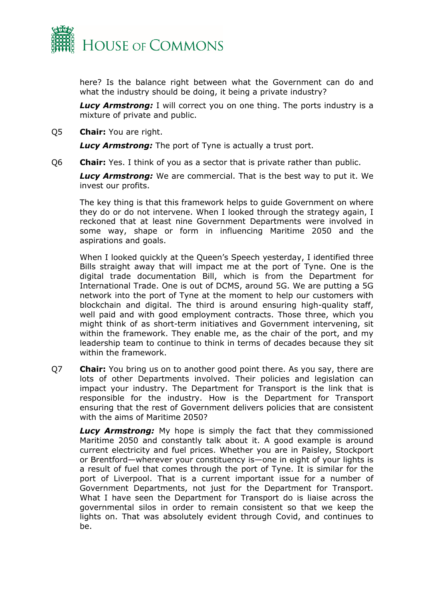

here? Is the balance right between what the Government can do and what the industry should be doing, it being a private industry?

**Lucy Armstrong:** I will correct you on one thing. The ports industry is a mixture of private and public.

Q5 **Chair:** You are right.

*Lucy Armstrong:* The port of Tyne is actually a trust port.

Q6 **Chair:** Yes. I think of you as a sector that is private rather than public.

*Lucy Armstrong:* We are commercial. That is the best way to put it. We invest our profits.

The key thing is that this framework helps to guide Government on where they do or do not intervene. When I looked through the strategy again, I reckoned that at least nine Government Departments were involved in some way, shape or form in influencing Maritime 2050 and the aspirations and goals.

When I looked quickly at the Queen's Speech yesterday, I identified three Bills straight away that will impact me at the port of Tyne. One is the digital trade documentation Bill, which is from the Department for International Trade. One is out of DCMS, around 5G. We are putting a 5G network into the port of Tyne at the moment to help our customers with blockchain and digital. The third is around ensuring high-quality staff, well paid and with good employment contracts. Those three, which you might think of as short-term initiatives and Government intervening, sit within the framework. They enable me, as the chair of the port, and my leadership team to continue to think in terms of decades because they sit within the framework.

Q7 **Chair:** You bring us on to another good point there. As you say, there are lots of other Departments involved. Their policies and legislation can impact your industry. The Department for Transport is the link that is responsible for the industry. How is the Department for Transport ensuring that the rest of Government delivers policies that are consistent with the aims of Maritime 2050?

*Lucy Armstrong:* My hope is simply the fact that they commissioned Maritime 2050 and constantly talk about it. A good example is around current electricity and fuel prices. Whether you are in Paisley, Stockport or Brentford—wherever your constituency is—one in eight of your lights is a result of fuel that comes through the port of Tyne. It is similar for the port of Liverpool. That is a current important issue for a number of Government Departments, not just for the Department for Transport. What I have seen the Department for Transport do is liaise across the governmental silos in order to remain consistent so that we keep the lights on. That was absolutely evident through Covid, and continues to be.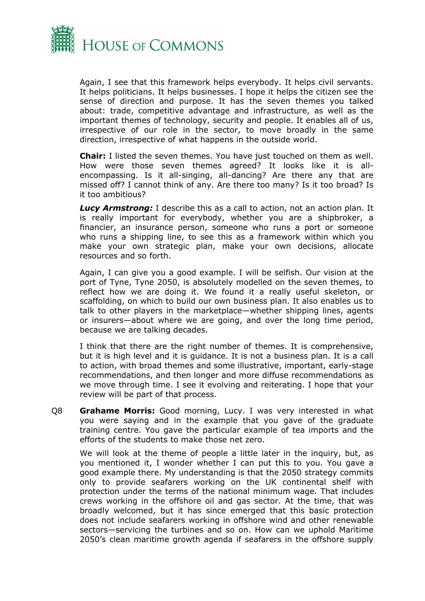

Again, I see that this framework helps everybody. It helps civil servants. It helps politicians. It helps businesses. I hope it helps the citizen see the sense of direction and purpose. It has the seven themes you talked about: trade, competitive advantage and infrastructure, as well as the important themes of technology, security and people. It enables all of us, irrespective of our role in the sector, to move broadly in the same direction, irrespective of what happens in the outside world.

**Chair:** I listed the seven themes. You have just touched on them as well. How were those seven themes agreed? It looks like it is allencompassing. Is it all-singing, all-dancing? Are there any that are missed off? I cannot think of any. Are there too many? Is it too broad? Is it too ambitious?

*Lucy Armstrong:* I describe this as a call to action, not an action plan. It is really important for everybody, whether you are a shipbroker, a financier, an insurance person, someone who runs a port or someone who runs a shipping line, to see this as a framework within which you make your own strategic plan, make your own decisions, allocate resources and so forth.

Again, I can give you a good example. I will be selfish. Our vision at the port of Tyne, Tyne 2050, is absolutely modelled on the seven themes, to reflect how we are doing it. We found it a really useful skeleton, or scaffolding, on which to build our own business plan. It also enables us to talk to other players in the marketplace—whether shipping lines, agents or insurers—about where we are going, and over the long time period, because we are talking decades.

I think that there are the right number of themes. It is comprehensive, but it is high level and it is guidance. It is not a business plan. It is a call to action, with broad themes and some illustrative, important, early-stage recommendations, and then longer and more diffuse recommendations as we move through time. I see it evolving and reiterating. I hope that your review will be part of that process.

Q8 **Grahame Morris:** Good morning, Lucy. I was very interested in what you were saying and in the example that you gave of the graduate training centre. You gave the particular example of tea imports and the efforts of the students to make those net zero.

We will look at the theme of people a little later in the inquiry, but, as you mentioned it, I wonder whether I can put this to you. You gave a good example there. My understanding is that the 2050 strategy commits only to provide seafarers working on the UK continental shelf with protection under the terms of the national minimum wage. That includes crews working in the offshore oil and gas sector. At the time, that was broadly welcomed, but it has since emerged that this basic protection does not include seafarers working in offshore wind and other renewable sectors—servicing the turbines and so on. How can we uphold Maritime 2050's clean maritime growth agenda if seafarers in the offshore supply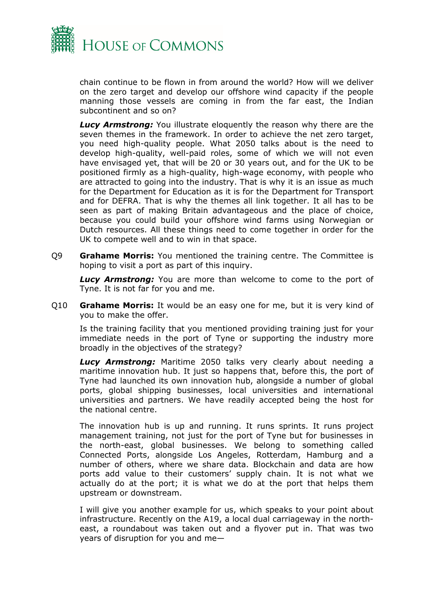

chain continue to be flown in from around the world? How will we deliver on the zero target and develop our offshore wind capacity if the people manning those vessels are coming in from the far east, the Indian subcontinent and so on?

**Lucy Armstrong:** You illustrate eloquently the reason why there are the seven themes in the framework. In order to achieve the net zero target, you need high-quality people. What 2050 talks about is the need to develop high-quality, well-paid roles, some of which we will not even have envisaged yet, that will be 20 or 30 years out, and for the UK to be positioned firmly as a high-quality, high-wage economy, with people who are attracted to going into the industry. That is why it is an issue as much for the Department for Education as it is for the Department for Transport and for DEFRA. That is why the themes all link together. It all has to be seen as part of making Britain advantageous and the place of choice, because you could build your offshore wind farms using Norwegian or Dutch resources. All these things need to come together in order for the UK to compete well and to win in that space.

Q9 **Grahame Morris:** You mentioned the training centre. The Committee is hoping to visit a port as part of this inquiry.

**Lucy Armstrong:** You are more than welcome to come to the port of Tyne. It is not far for you and me.

Q10 **Grahame Morris:** It would be an easy one for me, but it is very kind of you to make the offer.

Is the training facility that you mentioned providing training just for your immediate needs in the port of Tyne or supporting the industry more broadly in the objectives of the strategy?

*Lucy Armstrong:* Maritime 2050 talks very clearly about needing a maritime innovation hub. It just so happens that, before this, the port of Tyne had launched its own innovation hub, alongside a number of global ports, global shipping businesses, local universities and international universities and partners. We have readily accepted being the host for the national centre.

The innovation hub is up and running. It runs sprints. It runs project management training, not just for the port of Tyne but for businesses in the north-east, global businesses. We belong to something called Connected Ports, alongside Los Angeles, Rotterdam, Hamburg and a number of others, where we share data. Blockchain and data are how ports add value to their customers' supply chain. It is not what we actually do at the port; it is what we do at the port that helps them upstream or downstream.

I will give you another example for us, which speaks to your point about infrastructure. Recently on the A19, a local dual carriageway in the northeast, a roundabout was taken out and a flyover put in. That was two years of disruption for you and me—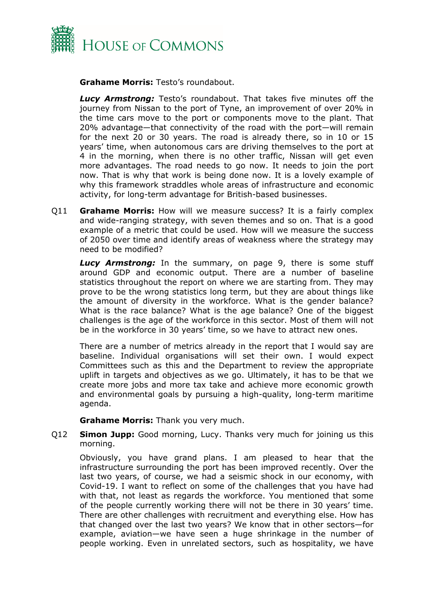

**Grahame Morris:** Testo's roundabout.

*Lucy Armstrong:* Testo's roundabout. That takes five minutes off the journey from Nissan to the port of Tyne, an improvement of over 20% in the time cars move to the port or components move to the plant. That 20% advantage—that connectivity of the road with the port—will remain for the next 20 or 30 years. The road is already there, so in 10 or 15 years' time, when autonomous cars are driving themselves to the port at 4 in the morning, when there is no other traffic, Nissan will get even more advantages. The road needs to go now. It needs to join the port now. That is why that work is being done now. It is a lovely example of why this framework straddles whole areas of infrastructure and economic activity, for long-term advantage for British-based businesses.

Q11 **Grahame Morris:** How will we measure success? It is a fairly complex and wide-ranging strategy, with seven themes and so on. That is a good example of a metric that could be used. How will we measure the success of 2050 over time and identify areas of weakness where the strategy may need to be modified?

*Lucy Armstrong:* In the summary, on page 9, there is some stuff around GDP and economic output. There are a number of baseline statistics throughout the report on where we are starting from. They may prove to be the wrong statistics long term, but they are about things like the amount of diversity in the workforce. What is the gender balance? What is the race balance? What is the age balance? One of the biggest challenges is the age of the workforce in this sector. Most of them will not be in the workforce in 30 years' time, so we have to attract new ones.

There are a number of metrics already in the report that I would say are baseline. Individual organisations will set their own. I would expect Committees such as this and the Department to review the appropriate uplift in targets and objectives as we go. Ultimately, it has to be that we create more jobs and more tax take and achieve more economic growth and environmental goals by pursuing a high-quality, long-term maritime agenda.

**Grahame Morris:** Thank you very much.

Q12 **Simon Jupp:** Good morning, Lucy. Thanks very much for joining us this morning.

Obviously, you have grand plans. I am pleased to hear that the infrastructure surrounding the port has been improved recently. Over the last two years, of course, we had a seismic shock in our economy, with Covid-19. I want to reflect on some of the challenges that you have had with that, not least as regards the workforce. You mentioned that some of the people currently working there will not be there in 30 years' time. There are other challenges with recruitment and everything else. How has that changed over the last two years? We know that in other sectors—for example, aviation—we have seen a huge shrinkage in the number of people working. Even in unrelated sectors, such as hospitality, we have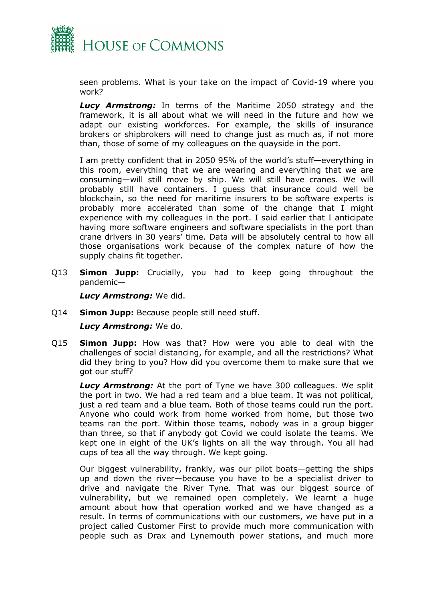

seen problems. What is your take on the impact of Covid-19 where you work?

*Lucy Armstrong:* In terms of the Maritime 2050 strategy and the framework, it is all about what we will need in the future and how we adapt our existing workforces. For example, the skills of insurance brokers or shipbrokers will need to change just as much as, if not more than, those of some of my colleagues on the quayside in the port.

I am pretty confident that in 2050 95% of the world's stuff—everything in this room, everything that we are wearing and everything that we are consuming—will still move by ship. We will still have cranes. We will probably still have containers. I guess that insurance could well be blockchain, so the need for maritime insurers to be software experts is probably more accelerated than some of the change that I might experience with my colleagues in the port. I said earlier that I anticipate having more software engineers and software specialists in the port than crane drivers in 30 years' time. Data will be absolutely central to how all those organisations work because of the complex nature of how the supply chains fit together.

Q13 **Simon Jupp:** Crucially, you had to keep going throughout the pandemic—

*Lucy Armstrong:* We did.

Q14 **Simon Jupp:** Because people still need stuff.

*Lucy Armstrong:* We do.

Q15 **Simon Jupp:** How was that? How were you able to deal with the challenges of social distancing, for example, and all the restrictions? What did they bring to you? How did you overcome them to make sure that we got our stuff?

*Lucy Armstrong:* At the port of Tyne we have 300 colleagues. We split the port in two. We had a red team and a blue team. It was not political, just a red team and a blue team. Both of those teams could run the port. Anyone who could work from home worked from home, but those two teams ran the port. Within those teams, nobody was in a group bigger than three, so that if anybody got Covid we could isolate the teams. We kept one in eight of the UK's lights on all the way through. You all had cups of tea all the way through. We kept going.

Our biggest vulnerability, frankly, was our pilot boats—getting the ships up and down the river—because you have to be a specialist driver to drive and navigate the River Tyne. That was our biggest source of vulnerability, but we remained open completely. We learnt a huge amount about how that operation worked and we have changed as a result. In terms of communications with our customers, we have put in a project called Customer First to provide much more communication with people such as Drax and Lynemouth power stations, and much more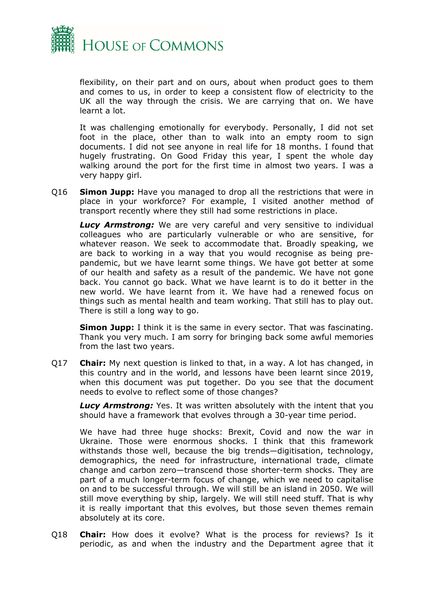

flexibility, on their part and on ours, about when product goes to them and comes to us, in order to keep a consistent flow of electricity to the UK all the way through the crisis. We are carrying that on. We have learnt a lot.

It was challenging emotionally for everybody. Personally, I did not set foot in the place, other than to walk into an empty room to sign documents. I did not see anyone in real life for 18 months. I found that hugely frustrating. On Good Friday this year, I spent the whole day walking around the port for the first time in almost two years. I was a very happy girl.

Q16 **Simon Jupp:** Have you managed to drop all the restrictions that were in place in your workforce? For example, I visited another method of transport recently where they still had some restrictions in place.

*Lucy Armstrong:* We are very careful and very sensitive to individual colleagues who are particularly vulnerable or who are sensitive, for whatever reason. We seek to accommodate that. Broadly speaking, we are back to working in a way that you would recognise as being prepandemic, but we have learnt some things. We have got better at some of our health and safety as a result of the pandemic. We have not gone back. You cannot go back. What we have learnt is to do it better in the new world. We have learnt from it. We have had a renewed focus on things such as mental health and team working. That still has to play out. There is still a long way to go.

**Simon Jupp:** I think it is the same in every sector. That was fascinating. Thank you very much. I am sorry for bringing back some awful memories from the last two years.

Q17 **Chair:** My next question is linked to that, in a way. A lot has changed, in this country and in the world, and lessons have been learnt since 2019, when this document was put together. Do you see that the document needs to evolve to reflect some of those changes?

*Lucy Armstrong:* Yes. It was written absolutely with the intent that you should have a framework that evolves through a 30-year time period.

We have had three huge shocks: Brexit, Covid and now the war in Ukraine. Those were enormous shocks. I think that this framework withstands those well, because the big trends—digitisation, technology, demographics, the need for infrastructure, international trade, climate change and carbon zero—transcend those shorter-term shocks. They are part of a much longer-term focus of change, which we need to capitalise on and to be successful through. We will still be an island in 2050. We will still move everything by ship, largely. We will still need stuff. That is why it is really important that this evolves, but those seven themes remain absolutely at its core.

Q18 **Chair:** How does it evolve? What is the process for reviews? Is it periodic, as and when the industry and the Department agree that it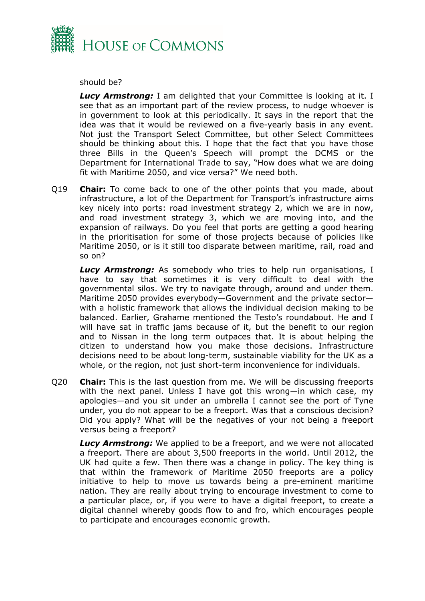

should be?

*Lucy Armstrong:* I am delighted that your Committee is looking at it. I see that as an important part of the review process, to nudge whoever is in government to look at this periodically. It says in the report that the idea was that it would be reviewed on a five-yearly basis in any event. Not just the Transport Select Committee, but other Select Committees should be thinking about this. I hope that the fact that you have those three Bills in the Queen's Speech will prompt the DCMS or the Department for International Trade to say, "How does what we are doing fit with Maritime 2050, and vice versa?" We need both.

Q19 **Chair:** To come back to one of the other points that you made, about infrastructure, a lot of the Department for Transport's infrastructure aims key nicely into ports: road investment strategy 2, which we are in now, and road investment strategy 3, which we are moving into, and the expansion of railways. Do you feel that ports are getting a good hearing in the prioritisation for some of those projects because of policies like Maritime 2050, or is it still too disparate between maritime, rail, road and so on?

*Lucy Armstrong:* As somebody who tries to help run organisations, I have to say that sometimes it is very difficult to deal with the governmental silos. We try to navigate through, around and under them. Maritime 2050 provides everybody—Government and the private sector with a holistic framework that allows the individual decision making to be balanced. Earlier, Grahame mentioned the Testo's roundabout. He and I will have sat in traffic jams because of it, but the benefit to our region and to Nissan in the long term outpaces that. It is about helping the citizen to understand how you make those decisions. Infrastructure decisions need to be about long-term, sustainable viability for the UK as a whole, or the region, not just short-term inconvenience for individuals.

Q20 **Chair:** This is the last question from me. We will be discussing freeports with the next panel. Unless I have got this wrong—in which case, my apologies—and you sit under an umbrella I cannot see the port of Tyne under, you do not appear to be a freeport. Was that a conscious decision? Did you apply? What will be the negatives of your not being a freeport versus being a freeport?

*Lucy Armstrong:* We applied to be a freeport, and we were not allocated a freeport. There are about 3,500 freeports in the world. Until 2012, the UK had quite a few. Then there was a change in policy. The key thing is that within the framework of Maritime 2050 freeports are a policy initiative to help to move us towards being a pre-eminent maritime nation. They are really about trying to encourage investment to come to a particular place, or, if you were to have a digital freeport, to create a digital channel whereby goods flow to and fro, which encourages people to participate and encourages economic growth.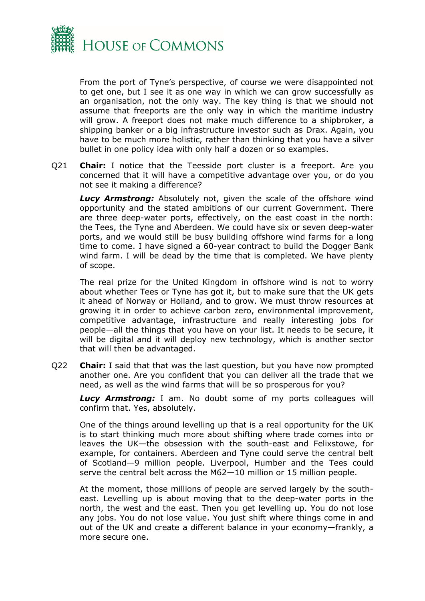

From the port of Tyne's perspective, of course we were disappointed not to get one, but I see it as one way in which we can grow successfully as an organisation, not the only way. The key thing is that we should not assume that freeports are the only way in which the maritime industry will grow. A freeport does not make much difference to a shipbroker, a shipping banker or a big infrastructure investor such as Drax. Again, you have to be much more holistic, rather than thinking that you have a silver bullet in one policy idea with only half a dozen or so examples.

Q21 **Chair:** I notice that the Teesside port cluster is a freeport. Are you concerned that it will have a competitive advantage over you, or do you not see it making a difference?

*Lucy Armstrong:* Absolutely not, given the scale of the offshore wind opportunity and the stated ambitions of our current Government. There are three deep-water ports, effectively, on the east coast in the north: the Tees, the Tyne and Aberdeen. We could have six or seven deep-water ports, and we would still be busy building offshore wind farms for a long time to come. I have signed a 60-year contract to build the Dogger Bank wind farm. I will be dead by the time that is completed. We have plenty of scope.

The real prize for the United Kingdom in offshore wind is not to worry about whether Tees or Tyne has got it, but to make sure that the UK gets it ahead of Norway or Holland, and to grow. We must throw resources at growing it in order to achieve carbon zero, environmental improvement, competitive advantage, infrastructure and really interesting jobs for people—all the things that you have on your list. It needs to be secure, it will be digital and it will deploy new technology, which is another sector that will then be advantaged.

Q22 **Chair:** I said that that was the last question, but you have now prompted another one. Are you confident that you can deliver all the trade that we need, as well as the wind farms that will be so prosperous for you?

**Lucy Armstrong:** I am. No doubt some of my ports colleagues will confirm that. Yes, absolutely.

One of the things around levelling up that is a real opportunity for the UK is to start thinking much more about shifting where trade comes into or leaves the UK—the obsession with the south-east and Felixstowe, for example, for containers. Aberdeen and Tyne could serve the central belt of Scotland—9 million people. Liverpool, Humber and the Tees could serve the central belt across the M62—10 million or 15 million people.

At the moment, those millions of people are served largely by the southeast. Levelling up is about moving that to the deep-water ports in the north, the west and the east. Then you get levelling up. You do not lose any jobs. You do not lose value. You just shift where things come in and out of the UK and create a different balance in your economy—frankly, a more secure one.